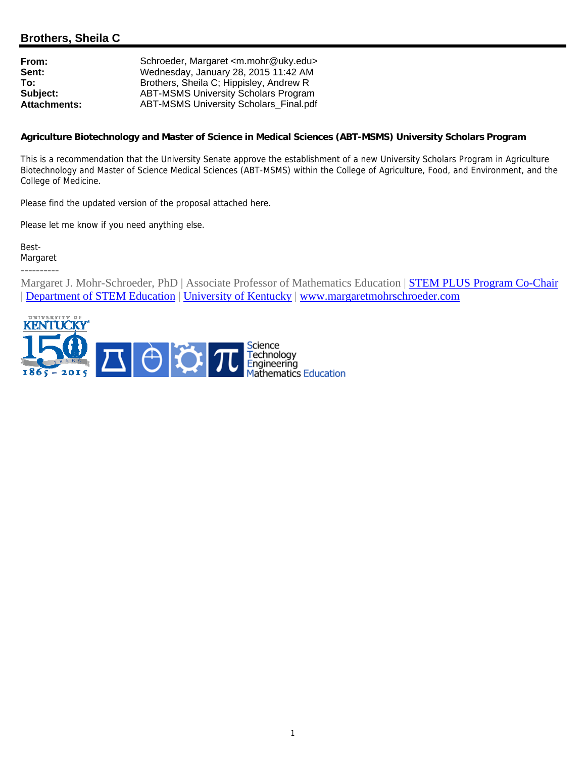# **Brothers, Sheila C**

| From:               | Schroeder, Margaret <m.mohr@uky.edu></m.mohr@uky.edu> |
|---------------------|-------------------------------------------------------|
| Sent:               | Wednesday, January 28, 2015 11:42 AM                  |
| To:                 | Brothers, Sheila C; Hippisley, Andrew R               |
| Subject:            | <b>ABT-MSMS University Scholars Program</b>           |
| <b>Attachments:</b> | <b>ABT-MSMS University Scholars Final.pdf</b>         |

#### **Agriculture Biotechnology and Master of Science in Medical Sciences (ABT-MSMS) University Scholars Program**

This is a recommendation that the University Senate approve the establishment of a new University Scholars Program in Agriculture Biotechnology and Master of Science Medical Sciences (ABT-MSMS) within the College of Agriculture, Food, and Environment, and the College of Medicine.

Please find the updated version of the proposal attached here.

Please let me know if you need anything else.

Best-Margaret

----------

Margaret J. Mohr-Schroeder, PhD | Associate Professor of Mathematics Education | **STEM PLUS Program Co-Chair** | Department of STEM Education | University of Kentucky | www.margaretmohrschroeder.com

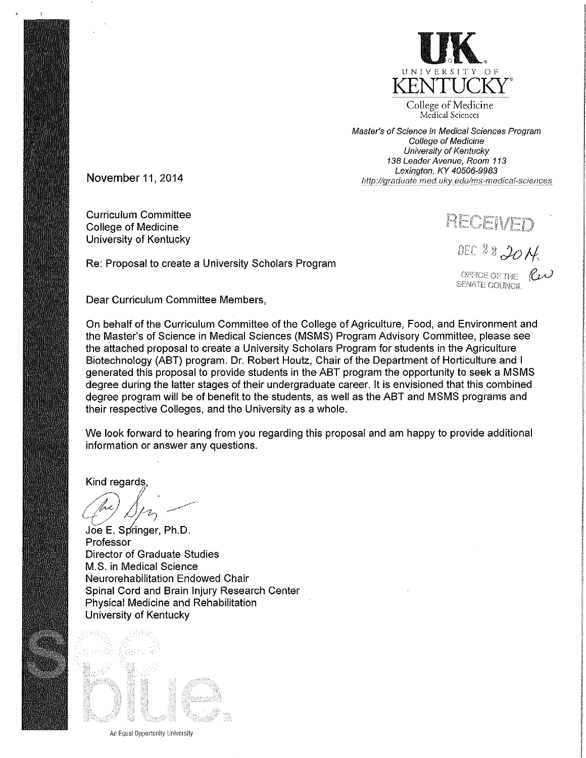

College of Medicine Medical Sciences

Master's of Science in Medical Sciences Program College of Medicine University of Kentucky 138 Leader Avenue, Room 113 Lexington, KY 40506-9983 http://graduate.med.uky.edu/ms-medical-sciences

November 11, 2014

**Curriculum Committee College of Medicine** University of Kentucky

RECENE

DEC 22 2014. OFFICE OF THE  $R_{\nu}$ 

**SENATE COUNCIL** 

Dear Curriculum Committee Members,

Re: Proposal to create a University Scholars Program

On behalf of the Curriculum Committee of the College of Agriculture, Food, and Environment and the Master's of Science in Medical Sciences (MSMS) Program Advisory Committee, please see the attached proposal to create a University Scholars Program for students in the Agriculture Biotechnology (ABT) program, Dr. Robert Houtz, Chair of the Department of Horticulture and I generated this proposal to provide students in the ABT program the opportunity to seek a MSMS degree during the latter stages of their undergraduate career. It is envisioned that this combined degree program will be of benefit to the students, as well as the ABT and MSMS programs and their respective Colleges, and the University as a whole.

We look forward to hearing from you regarding this proposal and am happy to provide additional information or answer any questions.

Kind regards

Joe E. Springer, Ph.D. Professor Director of Graduate Studies M.S. in Medical Science Neurorehabilitation Endowed Chair Spinal Cord and Brain Injury Research Center Physical Medicine and Rehabilitation University of Kentucky



An Equal Opportunity University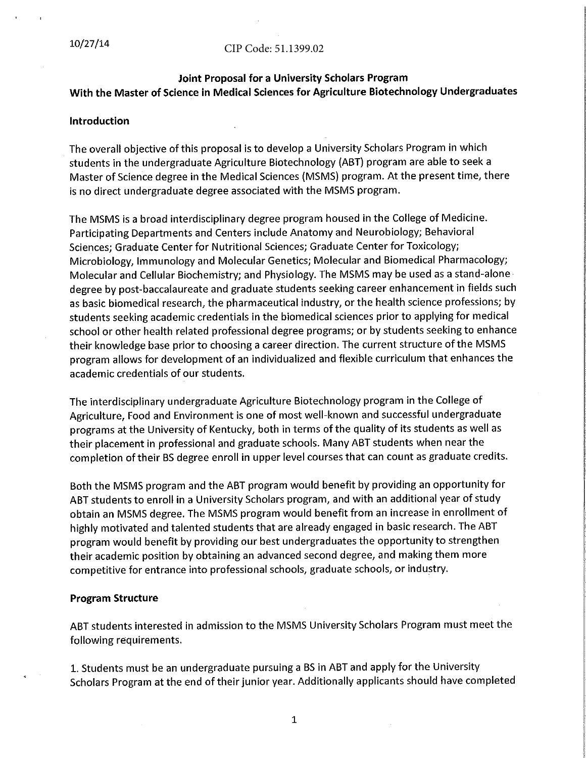#### CIP Code: 51.1399.02

# Joint Proposal for a University Scholars Program With the Master of Science in Medical Sciences for Agriculture Biotechnology Undergraduates

#### Introduction

The overall objective of this proposal is to develop a University Scholars Program in which students in the undergraduate Agriculture Biotechnology (ABT) program are able to seek a Master of Science degree in the Medical Sciences (MSMS) program. At the present time, there is no direct undergraduate degree associated with the MSMS program.

The MSMS is a broad interdisciplinary degree program housed in the College of Medicine. Participating Departments and Centers include Anatomy and Neurobiology; Behavioral Sciences; Graduate Center for Nutritional Sciences; Graduate Center for Toxicology; Microbiology, Immunology and Molecular Genetics; Molecular and Biomedical Pharmacology; Molecular and Cellular Biochemistry; and Physiology. The MSMS may be used as a stand-alone degree by post-baccalaureate and graduate students seeking career enhancement in fields such as basic biomedical research, the pharmaceutical industry, or the health science professions; by students seeking academic credentials in the biomedical sciences prior to applying for medical school or other health related professional degree programs; or by students seeking to enhance their knowledge base prior to choosing a career direction. The current structure of the MSMS program allows for development of an individualized and flexible curriculum that enhances the academic credentials of our students.

The interdisciplinary undergraduate Agriculture Biotechnology program in the College of Agriculture, Food and Environment is one of most well-known and successful undergraduate programs at the University of Kentucky, both in terms of the quality of its students as well as their placement in professional and graduate schools. Many ABT students when near the completion of their BS degree enroll in upper level courses that can count as graduate credits.

Both the MSMS program and the ABT program would benefit by providing an opportunity for ABT students to enroll in a University Scholars program, and with an additional year of study obtain an MSMS degree. The MSMS program would benefit from an increase in enrollment of highly motivated and talented students that are already engaged in basic research. The ABT program would benefit by providing our best undergraduates the opportunity to strengthen their academic position by obtaining an advanced second degree, and making them more competitive for entrance into professional schools, graduate schools, or industry.

#### **Program Structure**

ABT students interested in admission to the MSMS University Scholars Program must meet the following requirements.

1. Students must be an undergraduate pursuing a BS in ABT and apply for the University Scholars Program at the end of their junior year. Additionally applicants should have completed

 $\mathbf{1}$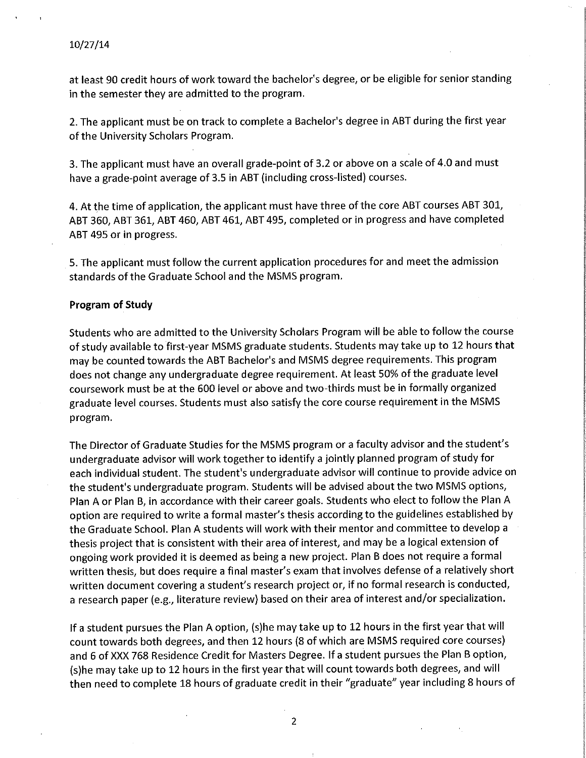at least 90 credit hours of work toward the bachelor's degree, or be eligible for senior standing in the semester they are admitted to the program.

2. The applicant must be on track to complete a Bachelor's degree in ABT during the first year of the University Scholars Program.

3. The applicant must have an overall grade-point of 3.2 or above on a scale of 4.0 and must have a grade-point average of 3.5 in ABT (including cross-listed) courses.

4. At the time of application, the applicant must have three of the core ABT courses ABT 301, ABT 360, ABT 361, ABT 460, ABT 461, ABT 495, completed or in progress and have completed ABT 495 or in progress.

5. The applicant must follow the current application procedures for and meet the admission standards of the Graduate School and the MSMS program.

#### **Program of Study**

Students who are admitted to the University Scholars Program will be able to follow the course of study available to first-year MSMS graduate students. Students may take up to 12 hours that may be counted towards the ABT Bachelor's and MSMS degree requirements. This program does not change any undergraduate degree requirement. At least 50% of the graduate level coursework must be at the 600 level or above and two-thirds must be in formally organized graduate level courses. Students must also satisfy the core course requirement in the MSMS program.

The Director of Graduate Studies for the MSMS program or a faculty advisor and the student's undergraduate advisor will work together to identify a jointly planned program of study for each individual student. The student's undergraduate advisor will continue to provide advice on the student's undergraduate program. Students will be advised about the two MSMS options, Plan A or Plan B, in accordance with their career goals. Students who elect to follow the Plan A option are required to write a formal master's thesis according to the guidelines established by the Graduate School. Plan A students will work with their mentor and committee to develop a thesis project that is consistent with their area of interest, and may be a logical extension of ongoing work provided it is deemed as being a new project. Plan B does not require a formal written thesis, but does require a final master's exam that involves defense of a relatively short written document covering a student's research project or, if no formal research is conducted, a research paper (e.g., literature review) based on their area of interest and/or specialization.

If a student pursues the Plan A option, (s)he may take up to 12 hours in the first year that will count towards both degrees, and then 12 hours (8 of which are MSMS required core courses) and 6 of XXX 768 Residence Credit for Masters Degree. If a student pursues the Plan B option, (s)he may take up to 12 hours in the first year that will count towards both degrees, and will then need to complete 18 hours of graduate credit in their "graduate" year including 8 hours of

 $\overline{2}$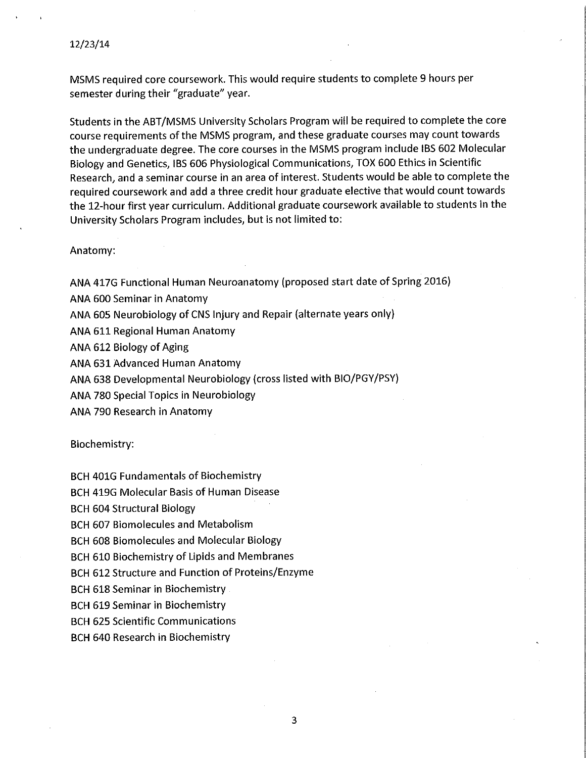MSMS required core coursework. This would require students to complete 9 hours per semester during their "graduate" year.

Students in the ABT/MSMS University Scholars Program will be required to complete the core course requirements of the MSMS program, and these graduate courses may count towards the undergraduate degree. The core courses in the MSMS program include IBS 602 Molecular Biology and Genetics, IBS 606 Physiological Communications, TOX 600 Ethics in Scientific Research, and a seminar course in an area of interest. Students would be able to complete the required coursework and add a three credit hour graduate elective that would count towards the 12-hour first year curriculum. Additional graduate coursework available to students in the University Scholars Program includes, but is not limited to:

Anatomy:

ANA 417G Functional Human Neuroanatomy (proposed start date of Spring 2016)

ANA 600 Seminar in Anatomy

ANA 605 Neurobiology of CNS Injury and Repair (alternate years only)

ANA 611 Regional Human Anatomy

ANA 612 Biology of Aging

ANA 631 Advanced Human Anatomy

ANA 638 Developmental Neurobiology (cross listed with BIO/PGY/PSY)

ANA 780 Special Topics in Neurobiology

ANA 790 Research in Anatomy

Biochemistry:

**BCH 401G Fundamentals of Biochemistry** 

**BCH 419G Molecular Basis of Human Disease** 

**BCH 604 Structural Biology** 

**BCH 607 Biomolecules and Metabolism** 

**BCH 608 Biomolecules and Molecular Biology** 

BCH 610 Biochemistry of Lipids and Membranes

BCH 612 Structure and Function of Proteins/Enzyme

**BCH 618 Seminar in Biochemistry** 

**BCH 619 Seminar in Biochemistry** 

**BCH 625 Scientific Communications** 

**BCH 640 Research in Biochemistry**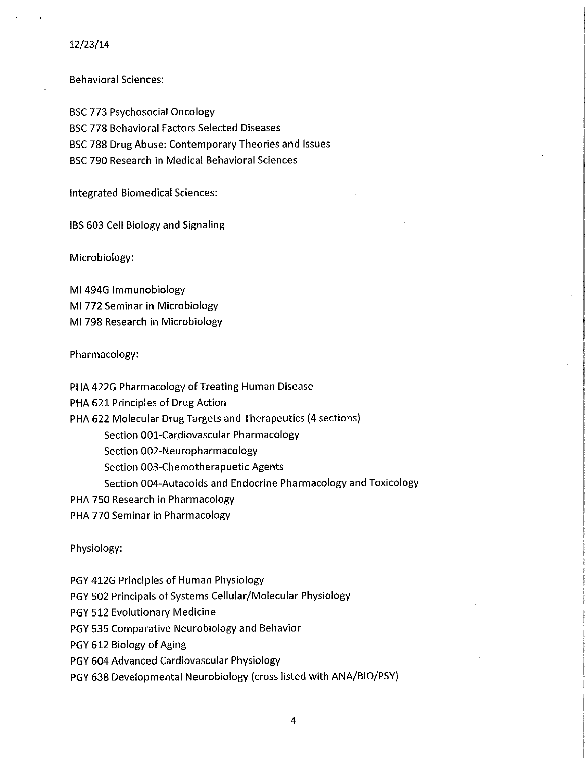#### 12/23/14

**Behavioral Sciences:** 

**BSC 773 Psychosocial Oncology BSC 778 Behavioral Factors Selected Diseases** BSC 788 Drug Abuse: Contemporary Theories and Issues BSC 790 Research in Medical Behavioral Sciences

**Integrated Biomedical Sciences:** 

IBS 603 Cell Biology and Signaling

Microbiology:

MI 494G Immunobiology MI 772 Seminar in Microbiology MI 798 Research in Microbiology

Pharmacology:

PHA 422G Pharmacology of Treating Human Disease

PHA 621 Principles of Drug Action

PHA 622 Molecular Drug Targets and Therapeutics (4 sections)

Section 001-Cardiovascular Pharmacology

Section 002-Neuropharmacology

Section 003-Chemotherapuetic Agents

Section 004-Autacoids and Endocrine Pharmacology and Toxicology

PHA 750 Research in Pharmacology

PHA 770 Seminar in Pharmacology

Physiology:

PGY 412G Principles of Human Physiology

PGY 502 Principals of Systems Cellular/Molecular Physiology

PGY 512 Evolutionary Medicine

PGY 535 Comparative Neurobiology and Behavior

PGY 612 Biology of Aging

PGY 604 Advanced Cardiovascular Physiology

PGY 638 Developmental Neurobiology (cross listed with ANA/BIO/PSY)

4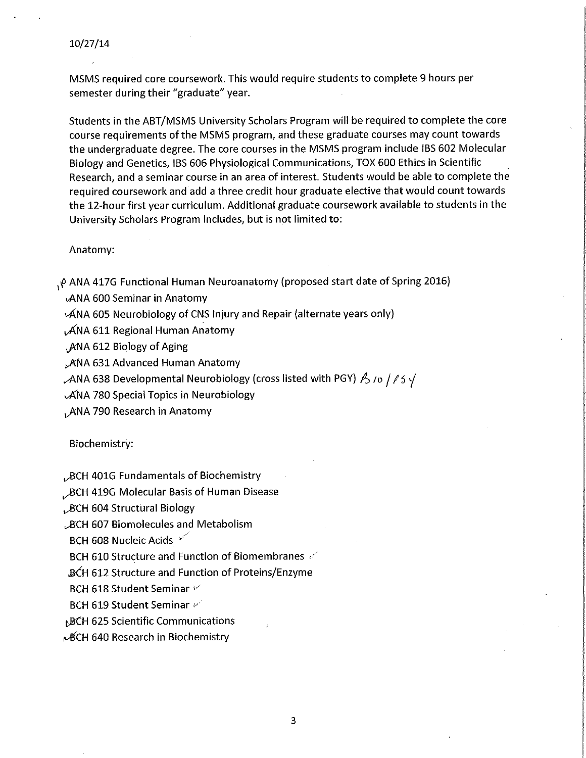MSMS required core coursework. This would require students to complete 9 hours per semester during their "graduate" year.

Students in the ABT/MSMS University Scholars Program will be required to complete the core course requirements of the MSMS program, and these graduate courses may count towards the undergraduate degree. The core courses in the MSMS program include IBS 602 Molecular Biology and Genetics, IBS 606 Physiological Communications, TOX 600 Ethics in Scientific Research, and a seminar course in an area of interest. Students would be able to complete the required coursework and add a three credit hour graduate elective that would count towards the 12-hour first year curriculum. Additional graduate coursework available to students in the University Scholars Program includes, but is not limited to:

#### Anatomy:

, *ρ* ANA 417G Functional Human Neuroanatomy (proposed start date of Spring 2016)

**ANA 600 Seminar in Anatomy** 

 $\mathcal{A}$ NA 605 Neurobiology of CNS Injury and Repair (alternate years only)

ANA 611 Regional Human Anatomy

ANA 612 Biology of Aging

ANA 631 Advanced Human Anatomy

ANA 638 Developmental Neurobiology (cross listed with PGY)  $\beta$  /o /  $\beta$  S  $\sqrt$ 

**ANA 780 Special Topics in Neurobiology** 

, ANA 790 Research in Anatomy

Biochemistry:

, BCH 401G Fundamentals of Biochemistry

BCH 419G Molecular Basis of Human Disease

BCH 604 Structural Biology

**BCH 607 Biomolecules and Metabolism** 

BCH 608 Nucleic Acids

BCH 610 Structure and Function of Biomembranes

**BCH 612 Structure and Function of Proteins/Enzyme** 

BCH 618 Student Seminar V

BCH 619 Student Seminar

**BCH 625 Scientific Communications** 

µBCH 640 Research in Biochemistry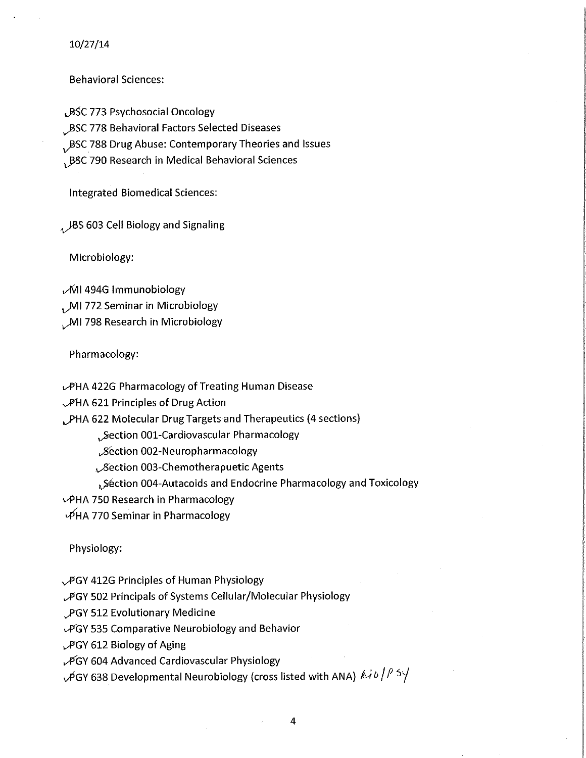$10/27/14$ 

**Behavioral Sciences:** 

BSC 773 Psychosocial Oncology

BSC 778 Behavioral Factors Selected Diseases

BSC 788 Drug Abuse: Contemporary Theories and Issues

, BSC 790 Research in Medical Behavioral Sciences

**Integrated Biomedical Sciences:** 

 $_{4}$  JBS 603 Cell Biology and Signaling

Microbiology:

MI 494G Immunobiology , MI 772 Seminar in Microbiology

MI 798 Research in Microbiology

Pharmacology:

PHA 422G Pharmacology of Treating Human Disease

**PHA 621 Principles of Drug Action** 

PHA 622 Molecular Drug Targets and Therapeutics (4 sections)

Section 001-Cardiovascular Pharmacology

Section 002-Neuropharmacology

Section 003-Chemotherapuetic Agents

∆Séction 004-Autacoids and Endocrine Pharmacology and Toxicology

↓ PHA 750 Research in Pharmacology

PHA 770 Seminar in Pharmacology

Physiology:

PGY 412G Principles of Human Physiology

PGY 502 Principals of Systems Cellular/Molecular Physiology

PGY 512 Evolutionary Medicine

LPGY 535 Comparative Neurobiology and Behavior

PGY 612 Biology of Aging

PGY 604 Advanced Cardiovascular Physiology

 $\sqrt{2}$ GY 638 Developmental Neurobiology (cross listed with ANA)  $\frac{\beta}{\sqrt{2}}$  / $\frac{\beta}{\sqrt{2}}$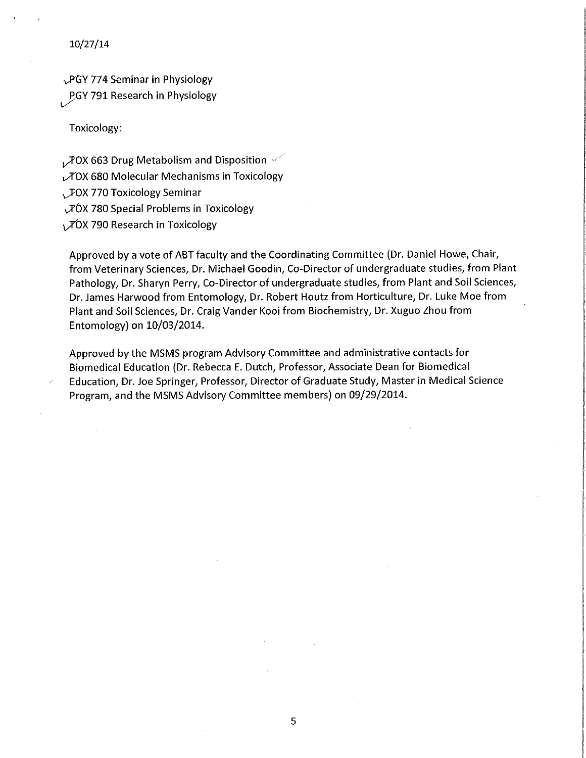$10/27/14$ 

PGY 774 Seminar in Physiology **PGY 791 Research in Physiology** 

Toxicology:

, FOX 663 Drug Metabolism and Disposition  $\mathscr{C}$ **TOX 680 Molecular Mechanisms in Toxicology** , JOX 770 Toxicology Seminar VOX 780 Special Problems in Toxicology TOX 790 Research in Toxicology

Approved by a vote of ABT faculty and the Coordinating Committee (Dr. Daniel Howe, Chair, from Veterinary Sciences, Dr. Michael Goodin, Co-Director of undergraduate studies, from Plant Pathology, Dr. Sharyn Perry, Co-Director of undergraduate studies, from Plant and Soil Sciences, Dr. James Harwood from Entomology, Dr. Robert Houtz from Horticulture, Dr. Luke Moe from Plant and Soil Sciences, Dr. Craig Vander Kooi from Biochemistry, Dr. Xuguo Zhou from Entomology) on 10/03/2014.

Approved by the MSMS program Advisory Committee and administrative contacts for Biomedical Education (Dr. Rebecca E. Dutch, Professor, Associate Dean for Biomedical Education, Dr. Joe Springer, Professor, Director of Graduate Study, Master in Medical Science Program, and the MSMS Advisory Committee members) on 09/29/2014.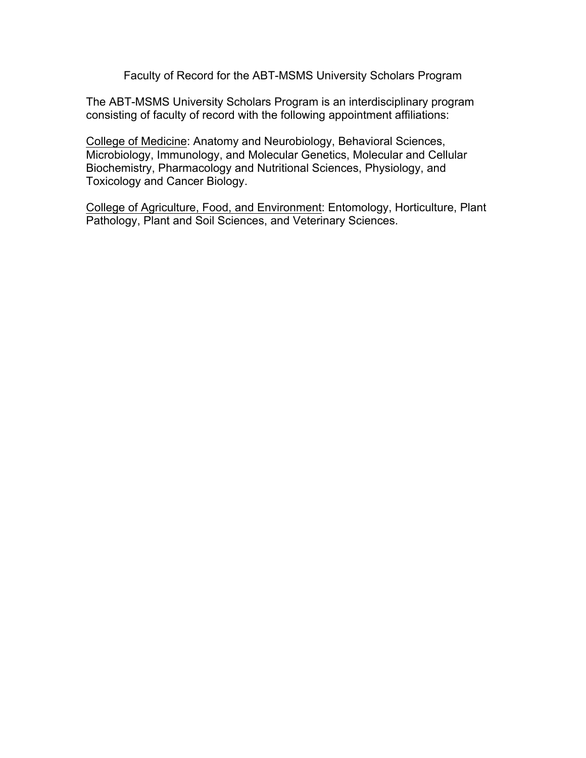Faculty of Record for the ABT-MSMS University Scholars Program

The ABT-MSMS University Scholars Program is an interdisciplinary program consisting of faculty of record with the following appointment affiliations:

College of Medicine: Anatomy and Neurobiology, Behavioral Sciences, Microbiology, Immunology, and Molecular Genetics, Molecular and Cellular Biochemistry, Pharmacology and Nutritional Sciences, Physiology, and Toxicology and Cancer Biology.

College of Agriculture, Food, and Environment: Entomology, Horticulture, Plant Pathology, Plant and Soil Sciences, and Veterinary Sciences.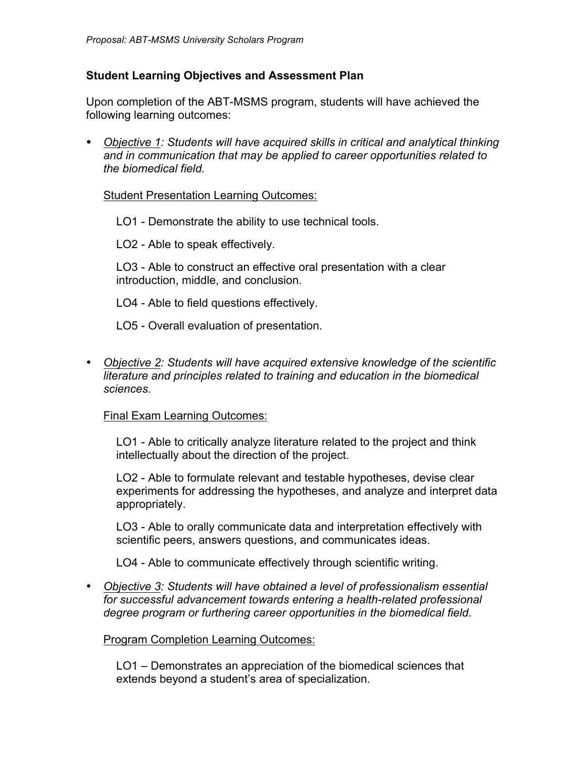# **Student Learning Objectives and Assessment Plan**

Upon completion of the ABT-MSMS program, students will have achieved the following learning outcomes:

• *Objective 1: Students will have acquired skills in critical and analytical thinking and in communication that may be applied to career opportunities related to the biomedical field.*

## Student Presentation Learning Outcomes:

LO1 - Demonstrate the ability to use technical tools.

LO2 - Able to speak effectively.

LO3 - Able to construct an effective oral presentation with a clear introduction, middle, and conclusion.

LO4 - Able to field questions effectively.

- LO5 Overall evaluation of presentation.
- *Objective 2: Students will have acquired extensive knowledge of the scientific literature and principles related to training and education in the biomedical sciences.*

## Final Exam Learning Outcomes:

LO1 - Able to critically analyze literature related to the project and think intellectually about the direction of the project.

LO2 - Able to formulate relevant and testable hypotheses, devise clear experiments for addressing the hypotheses, and analyze and interpret data appropriately.

LO3 - Able to orally communicate data and interpretation effectively with scientific peers, answers questions, and communicates ideas.

LO4 - Able to communicate effectively through scientific writing.

• *Objective 3: Students will have obtained a level of professionalism essential for successful advancement towards entering a health-related professional degree program or furthering career opportunities in the biomedical field*.

# Program Completion Learning Outcomes:

LO1 – Demonstrates an appreciation of the biomedical sciences that extends beyond a student's area of specialization.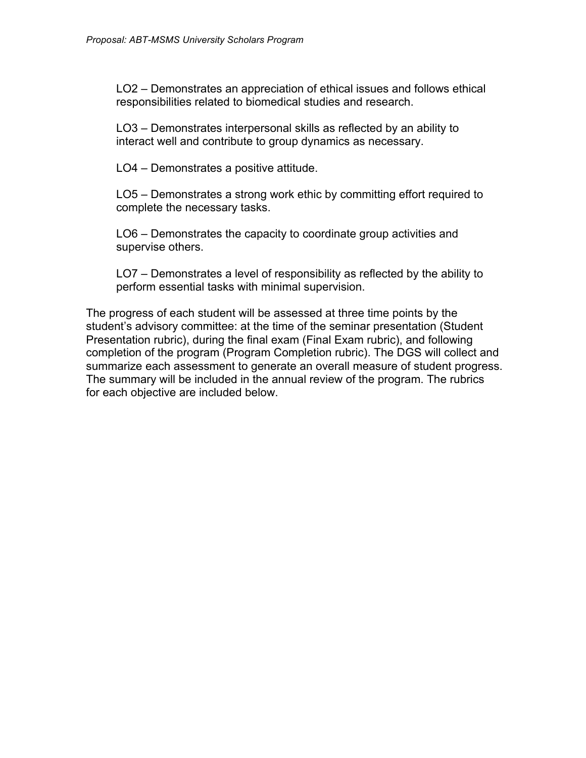LO2 – Demonstrates an appreciation of ethical issues and follows ethical responsibilities related to biomedical studies and research.

LO3 – Demonstrates interpersonal skills as reflected by an ability to interact well and contribute to group dynamics as necessary.

LO4 – Demonstrates a positive attitude.

LO5 – Demonstrates a strong work ethic by committing effort required to complete the necessary tasks.

LO6 – Demonstrates the capacity to coordinate group activities and supervise others.

LO7 – Demonstrates a level of responsibility as reflected by the ability to perform essential tasks with minimal supervision.

The progress of each student will be assessed at three time points by the student's advisory committee: at the time of the seminar presentation (Student Presentation rubric), during the final exam (Final Exam rubric), and following completion of the program (Program Completion rubric). The DGS will collect and summarize each assessment to generate an overall measure of student progress. The summary will be included in the annual review of the program. The rubrics for each objective are included below.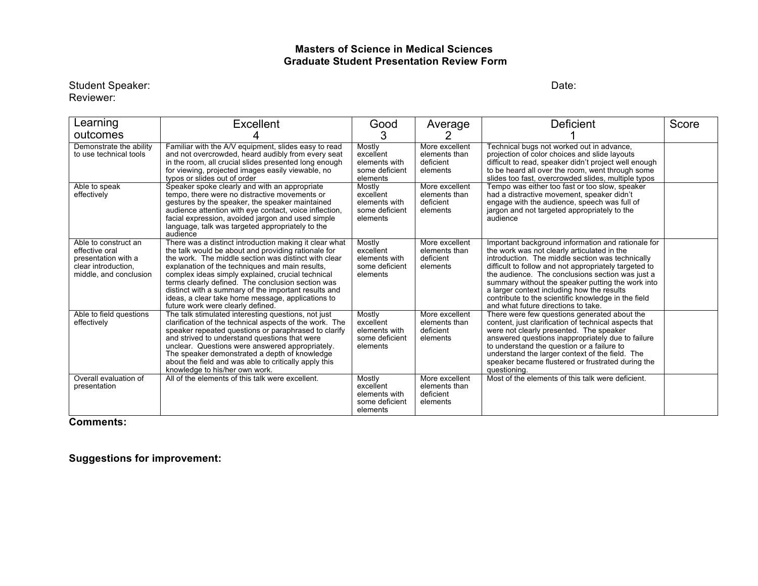#### **Masters of Science in Medical Sciences Graduate Student Presentation Review Form**

#### Student Speaker: Date: Date: Date: Date: Date: Date: Date: Date: Date: Date: Date: Date: Date: Date: Date: Date: Date: Date: Date: Date: Date: Date: Date: Date: Date: Date: Date: Date: Date: Date: Date: Date: Date: Date: D Reviewer:

| Learning                                                                                                       | <b>Excellent</b>                                                                                                                                                                                                                                                                                                                                                                                                                                                                     | Good                                                               | Average                                                  | Deficient                                                                                                                                                                                                                                                                                                                                                                                                                                                           | Score |
|----------------------------------------------------------------------------------------------------------------|--------------------------------------------------------------------------------------------------------------------------------------------------------------------------------------------------------------------------------------------------------------------------------------------------------------------------------------------------------------------------------------------------------------------------------------------------------------------------------------|--------------------------------------------------------------------|----------------------------------------------------------|---------------------------------------------------------------------------------------------------------------------------------------------------------------------------------------------------------------------------------------------------------------------------------------------------------------------------------------------------------------------------------------------------------------------------------------------------------------------|-------|
| outcomes                                                                                                       |                                                                                                                                                                                                                                                                                                                                                                                                                                                                                      | 3                                                                  |                                                          |                                                                                                                                                                                                                                                                                                                                                                                                                                                                     |       |
| Demonstrate the ability<br>to use technical tools                                                              | Familiar with the A/V equipment, slides easy to read<br>and not overcrowded, heard audibly from every seat<br>in the room, all crucial slides presented long enough<br>for viewing, projected images easily viewable, no<br>typos or slides out of order                                                                                                                                                                                                                             | Mostly<br>excellent<br>elements with<br>some deficient<br>elements | More excellent<br>elements than<br>deficient<br>elements | Technical bugs not worked out in advance,<br>projection of color choices and slide layouts<br>difficult to read, speaker didn't project well enough<br>to be heard all over the room, went through some<br>slides too fast, overcrowded slides, multiple typos                                                                                                                                                                                                      |       |
| Able to speak<br>effectively                                                                                   | Speaker spoke clearly and with an appropriate<br>tempo, there were no distractive movements or<br>gestures by the speaker, the speaker maintained<br>audience attention with eye contact, voice inflection,<br>facial expression, avoided jargon and used simple<br>language, talk was targeted appropriately to the<br>audience                                                                                                                                                     | Mostly<br>excellent<br>elements with<br>some deficient<br>elements | More excellent<br>elements than<br>deficient<br>elements | Tempo was either too fast or too slow, speaker<br>had a distractive movement, speaker didn't<br>engage with the audience, speech was full of<br>jargon and not targeted appropriately to the<br>audience                                                                                                                                                                                                                                                            |       |
| Able to construct an<br>effective oral<br>presentation with a<br>clear introduction.<br>middle, and conclusion | There was a distinct introduction making it clear what<br>the talk would be about and providing rationale for<br>the work. The middle section was distinct with clear<br>explanation of the techniques and main results.<br>complex ideas simply explained, crucial technical<br>terms clearly defined. The conclusion section was<br>distinct with a summary of the important results and<br>ideas, a clear take home message, applications to<br>future work were clearly defined. | Mostly<br>excellent<br>elements with<br>some deficient<br>elements | More excellent<br>elements than<br>deficient<br>elements | Important background information and rationale for<br>the work was not clearly articulated in the<br>introduction. The middle section was technically<br>difficult to follow and not appropriately targeted to<br>the audience. The conclusions section was just a<br>summary without the speaker putting the work into<br>a larger context including how the results<br>contribute to the scientific knowledge in the field<br>and what future directions to take. |       |
| Able to field questions<br>effectively                                                                         | The talk stimulated interesting questions, not just<br>clarification of the technical aspects of the work. The<br>speaker repeated questions or paraphrased to clarify<br>and strived to understand questions that were<br>unclear. Questions were answered appropriately.<br>The speaker demonstrated a depth of knowledge<br>about the field and was able to critically apply this<br>knowledge to his/her own work.                                                               | Mostly<br>excellent<br>elements with<br>some deficient<br>elements | More excellent<br>elements than<br>deficient<br>elements | There were few questions generated about the<br>content, just clarification of technical aspects that<br>were not clearly presented. The speaker<br>answered questions inappropriately due to failure<br>to understand the question or a failure to<br>understand the larger context of the field. The<br>speaker became flustered or frustrated during the<br>questioning.                                                                                         |       |
| Overall evaluation of<br>presentation                                                                          | All of the elements of this talk were excellent.                                                                                                                                                                                                                                                                                                                                                                                                                                     | Mostly<br>excellent<br>elements with<br>some deficient<br>elements | More excellent<br>elements than<br>deficient<br>elements | Most of the elements of this talk were deficient.                                                                                                                                                                                                                                                                                                                                                                                                                   |       |

# **Comments:**

**Suggestions for improvement:**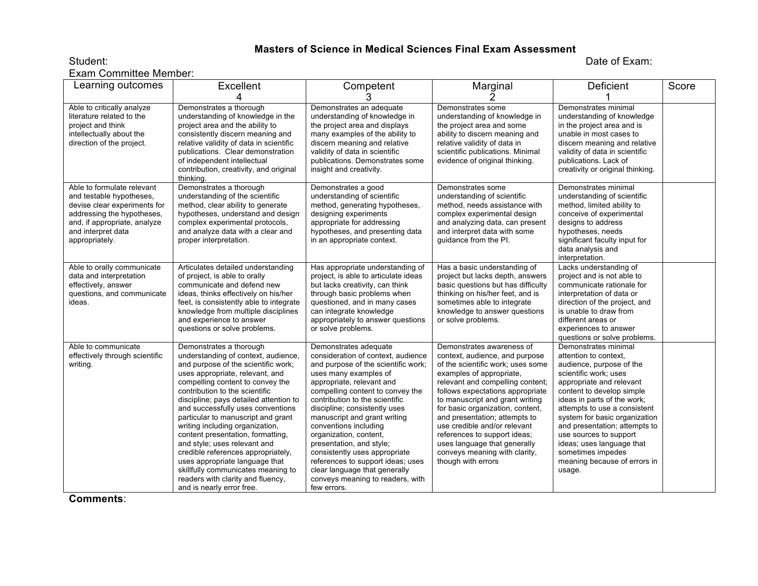#### **Masters of Science in Medical Sciences Final Exam Assessment** Student: Date of Exam:

Exam Committee Member:

| Learning outcomes                                                                                                                                                                            | Excellent                                                                                                                                                                                                                                                                                                                                                                                                                                                                                                                                                                                                                   | Competent<br>З                                                                                                                                                                                                                                                                                                                                                                                                                                                                                                                           | Marginal                                                                                                                                                                                                                                                                                                                                                                                                                                                            | Deficient                                                                                                                                                                                                                                                                                                                                                                                                          | Score |
|----------------------------------------------------------------------------------------------------------------------------------------------------------------------------------------------|-----------------------------------------------------------------------------------------------------------------------------------------------------------------------------------------------------------------------------------------------------------------------------------------------------------------------------------------------------------------------------------------------------------------------------------------------------------------------------------------------------------------------------------------------------------------------------------------------------------------------------|------------------------------------------------------------------------------------------------------------------------------------------------------------------------------------------------------------------------------------------------------------------------------------------------------------------------------------------------------------------------------------------------------------------------------------------------------------------------------------------------------------------------------------------|---------------------------------------------------------------------------------------------------------------------------------------------------------------------------------------------------------------------------------------------------------------------------------------------------------------------------------------------------------------------------------------------------------------------------------------------------------------------|--------------------------------------------------------------------------------------------------------------------------------------------------------------------------------------------------------------------------------------------------------------------------------------------------------------------------------------------------------------------------------------------------------------------|-------|
| Able to critically analyze<br>literature related to the<br>project and think<br>intellectually about the<br>direction of the project.                                                        | Demonstrates a thorough<br>understanding of knowledge in the<br>project area and the ability to<br>consistently discern meaning and<br>relative validity of data in scientific<br>publications. Clear demonstration<br>of independent intellectual<br>contribution, creativity, and original<br>thinking.                                                                                                                                                                                                                                                                                                                   | Demonstrates an adequate<br>understanding of knowledge in<br>the project area and displays<br>many examples of the ability to<br>discern meaning and relative<br>validity of data in scientific<br>publications. Demonstrates some<br>insight and creativity.                                                                                                                                                                                                                                                                            | Demonstrates some<br>understanding of knowledge in<br>the project area and some<br>ability to discern meaning and<br>relative validity of data in<br>scientific publications. Minimal<br>evidence of original thinking.                                                                                                                                                                                                                                             | Demonstrates minimal<br>understanding of knowledge<br>in the project area and is<br>unable in most cases to<br>discern meaning and relative<br>validity of data in scientific<br>publications. Lack of<br>creativity or original thinking.                                                                                                                                                                         |       |
| Able to formulate relevant<br>and testable hypotheses,<br>devise clear experiments for<br>addressing the hypotheses,<br>and, if appropriate, analyze<br>and interpret data<br>appropriately. | Demonstrates a thorough<br>understanding of the scientific<br>method, clear ability to generate<br>hypotheses, understand and design<br>complex experimental protocols,<br>and analyze data with a clear and<br>proper interpretation.                                                                                                                                                                                                                                                                                                                                                                                      | Demonstrates a good<br>understanding of scientific<br>method, generating hypotheses,<br>designing experiments<br>appropriate for addressing<br>hypotheses, and presenting data<br>in an appropriate context.                                                                                                                                                                                                                                                                                                                             | Demonstrates some<br>understanding of scientific<br>method, needs assistance with<br>complex experimental design<br>and analyzing data, can present<br>and interpret data with some<br>guidance from the PI.                                                                                                                                                                                                                                                        | Demonstrates minimal<br>understanding of scientific<br>method, limited ability to<br>conceive of experimental<br>designs to address<br>hypotheses, needs<br>significant faculty input for<br>data analysis and<br>interpretation.                                                                                                                                                                                  |       |
| Able to orally communicate<br>data and interpretation<br>effectively, answer<br>questions, and communicate<br>ideas.                                                                         | Articulates detailed understanding<br>of project, is able to orally<br>communicate and defend new<br>ideas, thinks effectively on his/her<br>feet, is consistently able to integrate<br>knowledge from multiple disciplines<br>and experience to answer<br>questions or solve problems.                                                                                                                                                                                                                                                                                                                                     | Has appropriate understanding of<br>project, is able to articulate ideas<br>but lacks creativity, can think<br>through basic problems when<br>questioned, and in many cases<br>can integrate knowledge<br>appropriately to answer questions<br>or solve problems.                                                                                                                                                                                                                                                                        | Has a basic understanding of<br>project but lacks depth, answers<br>basic questions but has difficulty<br>thinking on his/her feet, and is<br>sometimes able to integrate<br>knowledge to answer questions<br>or solve problems.                                                                                                                                                                                                                                    | Lacks understanding of<br>project and is not able to<br>communicate rationale for<br>interpretation of data or<br>direction of the project, and<br>is unable to draw from<br>different areas or<br>experiences to answer<br>questions or solve problems.                                                                                                                                                           |       |
| Able to communicate<br>effectively through scientific<br>writing.                                                                                                                            | Demonstrates a thorough<br>understanding of context, audience,<br>and purpose of the scientific work;<br>uses appropriate, relevant, and<br>compelling content to convey the<br>contribution to the scientific<br>discipline; pays detailed attention to<br>and successfully uses conventions<br>particular to manuscript and grant<br>writing including organization,<br>content presentation, formatting,<br>and style; uses relevant and<br>credible references appropriately,<br>uses appropriate language that<br>skillfully communicates meaning to<br>readers with clarity and fluency,<br>and is nearly error free. | Demonstrates adequate<br>consideration of context, audience<br>and purpose of the scientific work;<br>uses many examples of<br>appropriate, relevant and<br>compelling content to convey the<br>contribution to the scientific<br>discipline; consistently uses<br>manuscript and grant writing<br>conventions including<br>organization, content,<br>presentation, and style;<br>consistently uses appropriate<br>references to support ideas; uses<br>clear language that generally<br>conveys meaning to readers, with<br>few errors. | Demonstrates awareness of<br>context, audience, and purpose<br>of the scientific work; uses some<br>examples of appropriate,<br>relevant and compelling content;<br>follows expectations appropriate<br>to manuscript and grant writing<br>for basic organization, content,<br>and presentation; attempts to<br>use credible and/or relevant<br>references to support ideas:<br>uses language that generally<br>conveys meaning with clarity,<br>though with errors | Demonstrates minimal<br>attention to context.<br>audience, purpose of the<br>scientific work; uses<br>appropriate and relevant<br>content to develop simple<br>ideas in parts of the work;<br>attempts to use a consistent<br>system for basic organization<br>and presentation; attempts to<br>use sources to support<br>ideas; uses language that<br>sometimes impedes<br>meaning because of errors in<br>usage. |       |

**Comments**: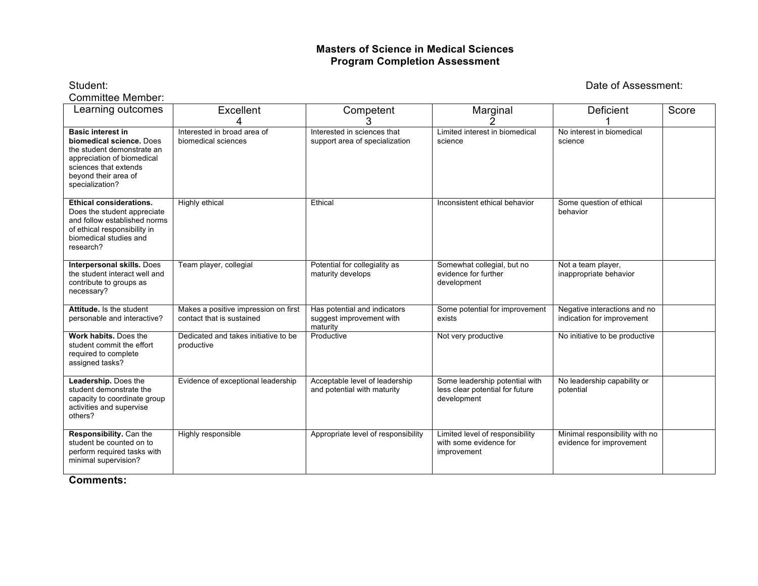#### **Masters of Science in Medical Sciences Program Completion Assessment**

Committee Member:

Student: Date of Assessment:

| Learning outcomes                                                                                                                                                                    | Excellent                                                         | Competent                                                            | Marginal                                                                         | Deficient                                                  | Score |
|--------------------------------------------------------------------------------------------------------------------------------------------------------------------------------------|-------------------------------------------------------------------|----------------------------------------------------------------------|----------------------------------------------------------------------------------|------------------------------------------------------------|-------|
| <b>Basic interest in</b><br>biomedical science. Does<br>the student demonstrate an<br>appreciation of biomedical<br>sciences that extends<br>beyond their area of<br>specialization? | Interested in broad area of<br>biomedical sciences                | Interested in sciences that<br>support area of specialization        | Limited interest in biomedical<br>science                                        | No interest in biomedical<br>science                       |       |
| <b>Ethical considerations.</b><br>Does the student appreciate<br>and follow established norms<br>of ethical responsibility in<br>biomedical studies and<br>research?                 | Highly ethical                                                    | Ethical                                                              | Inconsistent ethical behavior                                                    | Some question of ethical<br>behavior                       |       |
| Interpersonal skills. Does<br>the student interact well and<br>contribute to groups as<br>necessary?                                                                                 | Team player, collegial                                            | Potential for collegiality as<br>maturity develops                   | Somewhat collegial, but no<br>evidence for further<br>development                | Not a team player,<br>inappropriate behavior               |       |
| Attitude. Is the student<br>personable and interactive?                                                                                                                              | Makes a positive impression on first<br>contact that is sustained | Has potential and indicators<br>suggest improvement with<br>maturity | Some potential for improvement<br>exists                                         | Negative interactions and no<br>indication for improvement |       |
| Work habits. Does the<br>student commit the effort<br>required to complete<br>assigned tasks?                                                                                        | Dedicated and takes initiative to be<br>productive                | Productive                                                           | Not very productive                                                              | No initiative to be productive                             |       |
| Leadership. Does the<br>student demonstrate the<br>capacity to coordinate group<br>activities and supervise<br>others?                                                               | Evidence of exceptional leadership                                | Acceptable level of leadership<br>and potential with maturity        | Some leadership potential with<br>less clear potential for future<br>development | No leadership capability or<br>potential                   |       |
| Responsibility. Can the<br>student be counted on to<br>perform required tasks with<br>minimal supervision?                                                                           | Highly responsible                                                | Appropriate level of responsibility                                  | Limited level of responsibility<br>with some evidence for<br>improvement         | Minimal responsibility with no<br>evidence for improvement |       |

**Comments:**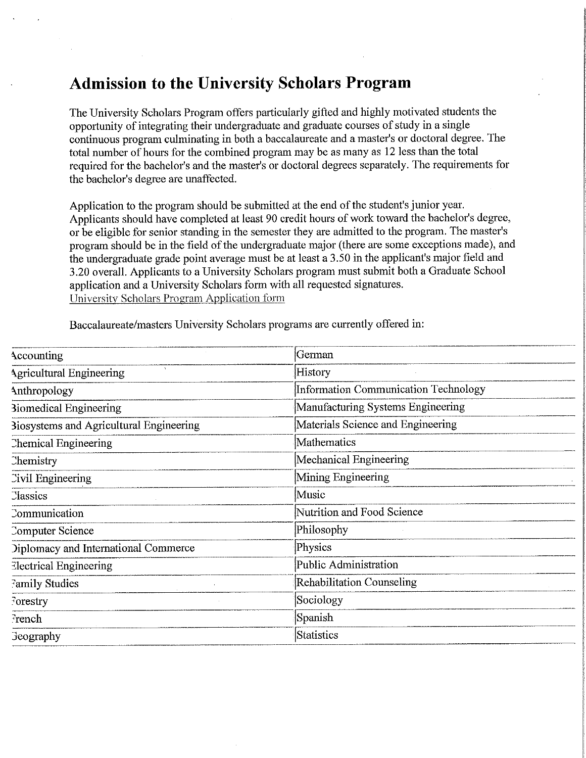# **Admission to the University Scholars Program**

The University Scholars Program offers particularly gifted and highly motivated students the opportunity of integrating their undergraduate and graduate courses of study in a single continuous program culminating in both a baccalaureate and a master's or doctoral degree. The total number of hours for the combined program may be as many as 12 less than the total required for the bachelor's and the master's or doctoral degrees separately. The requirements for the bachelor's degree are unaffected.

Application to the program should be submitted at the end of the student's junior year. Applicants should have completed at least 90 credit hours of work toward the bachelor's degree, or be eligible for senior standing in the semester they are admitted to the program. The master's program should be in the field of the undergraduate major (there are some exceptions made), and the undergraduate grade point average must be at least a 3.50 in the applicant's major field and 3.20 overall. Applicants to a University Scholars program must submit both a Graduate School application and a University Scholars form with all requested signatures. University Scholars Program Application form

Baccalaureate/masters University Scholars programs are currently offered in:

| Accounting                                     | German                               |
|------------------------------------------------|--------------------------------------|
| $\Delta$<br><b>Agricultural Engineering</b>    | History                              |
| Anthropology                                   | Information Communication Technology |
| <b>Biomedical Engineering</b>                  | Manufacturing Systems Engineering    |
| <b>Biosystems and Agricultural Engineering</b> | Materials Science and Engineering    |
| Chemical Engineering                           | Mathematics                          |
| Chemistry                                      | Mechanical Engineering               |
| Civil Engineering                              | Mining Engineering                   |
| <b>Classics</b>                                | Music                                |
| Communication                                  | Nutrition and Food Science           |
| Computer Science                               | Philosophy                           |
| Diplomacy and International Commerce           | Physics                              |
| <b>Electrical Engineering</b>                  | Public Administration                |
| Family Studies                                 | <b>Rehabilitation Counseling</b>     |
| Forestry                                       | Sociology                            |
| French                                         | Spanish                              |
| <b>Geography</b>                               | Statistics                           |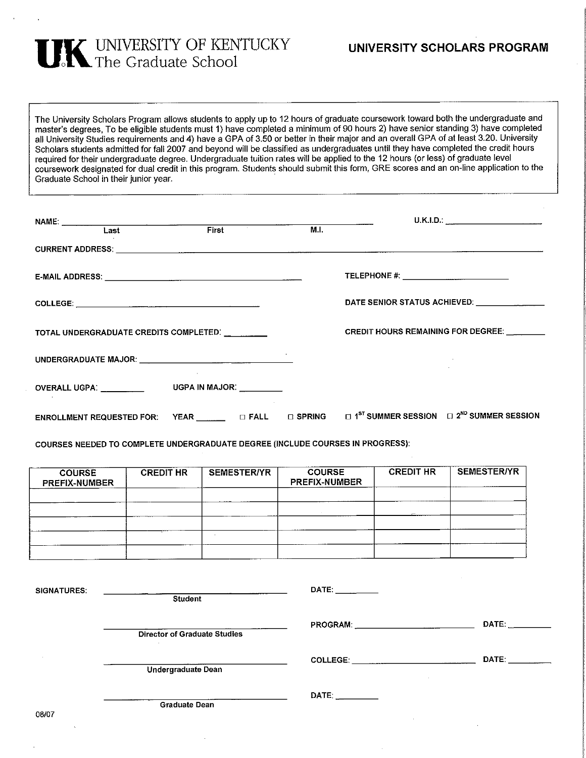

The University Scholars Program allows students to apply up to 12 hours of graduate coursework toward both the undergraduate and master's degrees. To be eligible students must 1) have completed a minimum of 90 hours 2) have senior standing 3) have completed all University Studies requirements and 4) have a GPA of 3.50 or better in their major and an overall GPA of at least 3.20. University Scholars students admitted for fall 2007 and beyond will be classified as undergraduates until they have completed the credit hours required for their undergraduate degree. Undergraduate tuition rates will be applied to the 12 hours (or less) of graduate level coursework designated for dual credit in this program. Students should submit this form, GRE scores and an on-line application to the Graduate School in their junior year.

| NAME: Last <b>Eirst M.I.</b>                                                                                                                |  |                                              |                                           |
|---------------------------------------------------------------------------------------------------------------------------------------------|--|----------------------------------------------|-------------------------------------------|
|                                                                                                                                             |  |                                              |                                           |
|                                                                                                                                             |  | TELEPHONE #: _______________________________ |                                           |
|                                                                                                                                             |  |                                              |                                           |
| TOTAL UNDERGRADUATE CREDITS COMPLETED:                                                                                                      |  |                                              | <b>CREDIT HOURS REMAINING FOR DEGREE:</b> |
|                                                                                                                                             |  |                                              |                                           |
| OVERALL UGPA: ____________ UGPA IN MAJOR: ________                                                                                          |  |                                              |                                           |
| ENROLLMENT REQUESTED FOR: YEAR $\Box$ $\Box$ FALL $\Box$ SPRING $\Box$ 1 <sup>st</sup> summer session $\Box$ 2 <sup>ND</sup> summer session |  |                                              |                                           |

COURSES NEEDED TO COMPLETE UNDERGRADUATE DEGREE (INCLUDE COURSES IN PROGRESS):

| <b>COURSE</b><br><b>PREFIX-NUMBER</b> | <b>CREDIT HR</b> | <b>SEMESTER/YR</b> | <b>COURSE</b><br><b>PREFIX-NUMBER</b> | <b>CREDIT HR</b> | <b>SEMESTER/YR</b> |
|---------------------------------------|------------------|--------------------|---------------------------------------|------------------|--------------------|
|                                       |                  |                    |                                       |                  |                    |
|                                       |                  |                    |                                       |                  |                    |
|                                       |                  |                    |                                       |                  |                    |

| <b>SIGNATURES:</b> | Student                             | DATE: the contract of the contract of the contract of the contract of the contract of the contract of the contract of the contract of the contract of the contract of the contract of the contract of the contract of the cont     |                                                                                                                                                                                                                                |
|--------------------|-------------------------------------|------------------------------------------------------------------------------------------------------------------------------------------------------------------------------------------------------------------------------------|--------------------------------------------------------------------------------------------------------------------------------------------------------------------------------------------------------------------------------|
|                    | <b>Director of Graduate Studies</b> |                                                                                                                                                                                                                                    | DATE:                                                                                                                                                                                                                          |
|                    | $\sim$<br>Undergraduate Dean        | <b>COLLEGE:</b> And the college of the college of the college of the college of the college of the college of the college of the college of the college of the college of the college of the college of the college of the college | DATE: the contract of the contract of the contract of the contract of the contract of the contract of the contract of the contract of the contract of the contract of the contract of the contract of the contract of the cont |
| 08/07              | <b>Graduate Dean</b>                | DATE: <b>DATE:</b>                                                                                                                                                                                                                 |                                                                                                                                                                                                                                |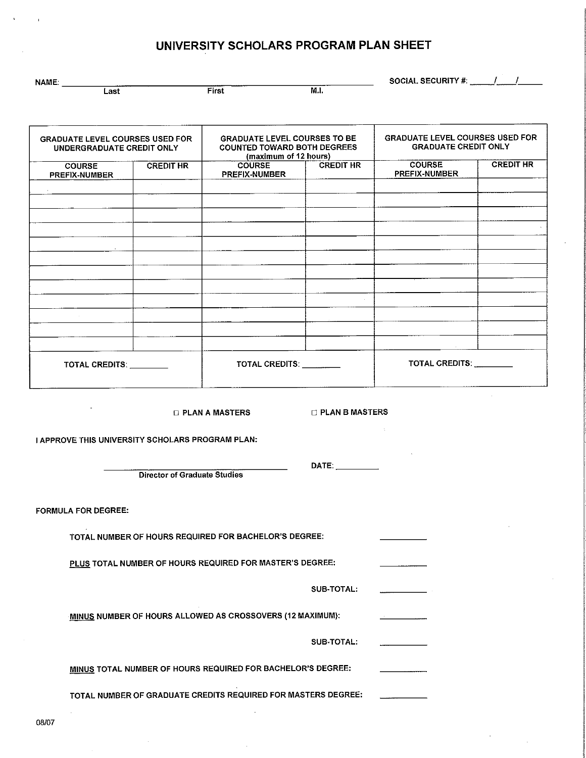# UNIVERSITY SCHOLARS PROGRAM PLAN SHEET

| <b>NAME:</b> |      |              |                | <b>SOCIAL SECURITY #:</b><br>_____ |
|--------------|------|--------------|----------------|------------------------------------|
|              | Last | <b>First</b> | M.I.<br>------ |                                    |

|                                         | <b>GRADUATE LEVEL COURSES USED FOR</b><br>UNDERGRADUATE CREDIT ONLY |                                | <b>GRADUATE LEVEL COURSES TO BE</b><br><b>COUNTED TOWARD BOTH DEGREES</b><br>(maximum of 12 hours) |                                | <b>GRADUATE LEVEL COURSES USED FOR</b><br><b>GRADUATE CREDIT ONLY</b> |
|-----------------------------------------|---------------------------------------------------------------------|--------------------------------|----------------------------------------------------------------------------------------------------|--------------------------------|-----------------------------------------------------------------------|
| <b>COURSE</b><br>PREFIX-NUMBER          | <b>CREDIT HR</b>                                                    | <b>COURSE</b><br>PREFIX-NUMBER | <b>CREDIT HR</b>                                                                                   | <b>COURSE</b><br>PREFIX-NUMBER | <b>CREDIT HR</b>                                                      |
|                                         |                                                                     |                                |                                                                                                    |                                |                                                                       |
|                                         |                                                                     |                                |                                                                                                    |                                |                                                                       |
|                                         |                                                                     |                                |                                                                                                    |                                |                                                                       |
|                                         |                                                                     |                                |                                                                                                    |                                |                                                                       |
|                                         |                                                                     |                                |                                                                                                    |                                |                                                                       |
|                                         |                                                                     |                                |                                                                                                    |                                |                                                                       |
|                                         |                                                                     |                                |                                                                                                    |                                |                                                                       |
|                                         |                                                                     |                                |                                                                                                    |                                |                                                                       |
|                                         |                                                                     |                                |                                                                                                    |                                |                                                                       |
|                                         |                                                                     |                                |                                                                                                    |                                |                                                                       |
|                                         |                                                                     |                                |                                                                                                    |                                |                                                                       |
|                                         |                                                                     |                                |                                                                                                    |                                |                                                                       |
| TOTAL CREDITS: NAMEL AND TOTAL CREDITS: |                                                                     | TOTAL CREDITS: TOTAL CREDITS:  |                                                                                                    | TOTAL CREDITS: ________        |                                                                       |

**B PLAN A MASTERS** 

□ PLAN B MASTERS

DATE:

I APPROVE THIS UNIVERSITY SCHOLARS PROGRAM PLAN:

**Director of Graduate Studies** 

**FORMULA FOR DEGREE:** 

TOTAL NUMBER OF HOURS REQUIRED FOR BACHELOR'S DEGREE:

PLUS TOTAL NUMBER OF HOURS REQUIRED FOR MASTER'S DEGREE:

SUB-TOTAL:

MINUS NUMBER OF HOURS ALLOWED AS CROSSOVERS (12 MAXIMUM):

SUB-TOTAL:

MINUS TOTAL NUMBER OF HOURS REQUIRED FOR BACHELOR'S DEGREE:

TOTAL NUMBER OF GRADUATE CREDITS REQUIRED FOR MASTERS DEGREE: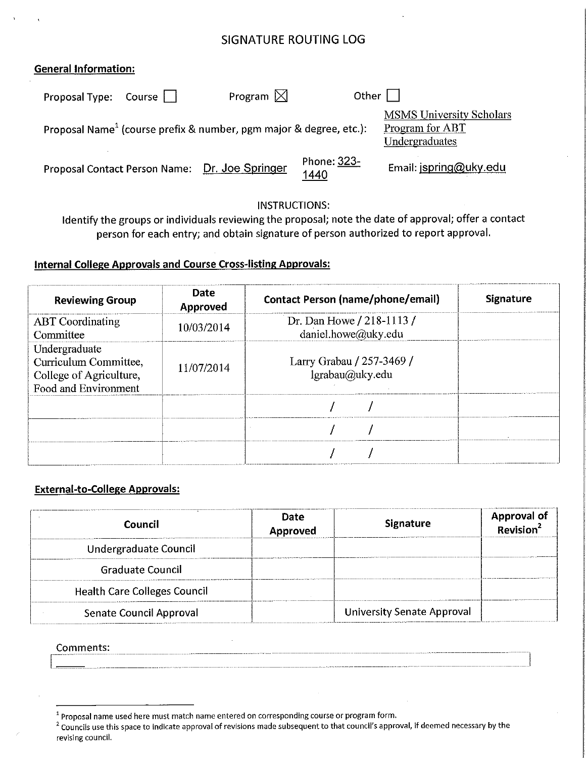# **SIGNATURE ROUTING LOG**

## General Information:

| Proposal Type: Course $\begin{bmatrix} \end{bmatrix}$ | Program $\boxtimes$                                                            | Other $  \cdot  $   |                                                                      |
|-------------------------------------------------------|--------------------------------------------------------------------------------|---------------------|----------------------------------------------------------------------|
|                                                       | Proposal Name <sup>1</sup> (course prefix & number, pgm major & degree, etc.): |                     | <b>MSMS University Scholars</b><br>Program for ABT<br>Undergraduates |
|                                                       | Proposal Contact Person Name: Dr. Joe Springer                                 | Phone: 323-<br>1440 | Email: jspring@uky.edu                                               |

## **INSTRUCTIONS:**

Identify the groups or individuals reviewing the proposal; note the date of approval; offer a contact person for each entry; and obtain signature of person authorized to report approval.

## **Internal College Approvals and Course Cross-listing Approvals:**

| <b>Reviewing Group</b>                                                                    | Date<br>Approved | <b>Contact Person (name/phone/email)</b>         | <b>Signature</b> |
|-------------------------------------------------------------------------------------------|------------------|--------------------------------------------------|------------------|
| <b>ABT</b> Coordinating<br>Committee                                                      | 10/03/2014       | Dr. Dan Howe / 218-1113 /<br>daniel.howe@uky.edu |                  |
| Undergraduate<br>Curriculum Committee,<br>College of Agriculture,<br>Food and Environment | 11/07/2014       | Larry Grabau / 257-3469 /<br>lgrabau@uky.edu     |                  |
|                                                                                           |                  |                                                  |                  |
|                                                                                           |                  |                                                  |                  |
|                                                                                           |                  |                                                  |                  |

## **External-to-College Approvals:**

| Council                             | <b>Date</b><br>Approved | <b>Signature</b>                  | Approval of |
|-------------------------------------|-------------------------|-----------------------------------|-------------|
| Undergraduate Council               |                         |                                   |             |
| Graduate Council                    |                         |                                   |             |
| <b>Health Care Colleges Council</b> |                         |                                   |             |
| Senate Council Approval             |                         | <b>University Senate Approval</b> |             |

Comments:

<sup>&</sup>lt;sup>1</sup> Proposal name used here must match name entered on corresponding course or program form.

<sup>&</sup>lt;sup>2</sup> Councils use this space to indicate approval of revisions made subsequent to that council's approval, if deemed necessary by the revising council.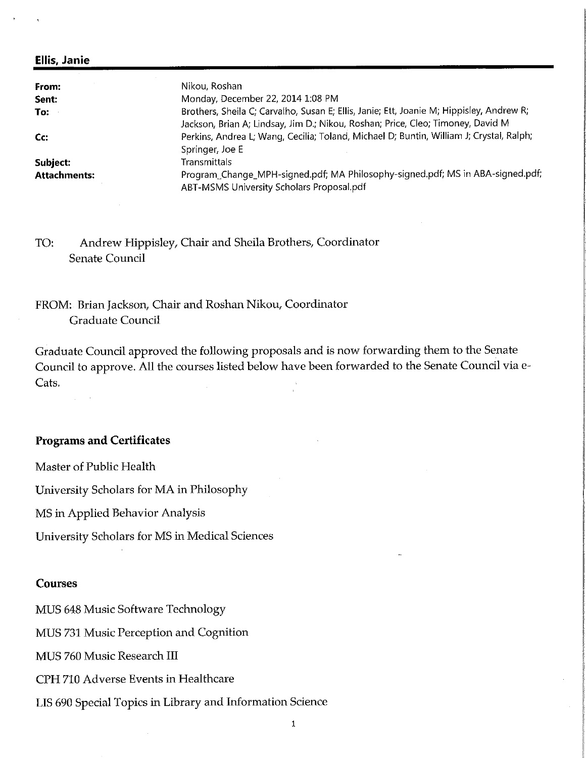#### **Ellis, Janie**

| From:               | Nikou, Roshan                                                                            |  |
|---------------------|------------------------------------------------------------------------------------------|--|
| Sent:               | Monday, December 22, 2014 1:08 PM                                                        |  |
| To:                 | Brothers, Sheila C; Carvalho, Susan E; Ellis, Janie; Ett, Joanie M; Hippisley, Andrew R; |  |
|                     | Jackson, Brian A; Lindsay, Jim D.; Nikou, Roshan; Price, Cleo; Timoney, David M          |  |
| Cc:                 | Perkins, Andrea L; Wang, Cecilia; Toland, Michael D; Buntin, William J; Crystal, Ralph;  |  |
|                     | Springer, Joe E                                                                          |  |
| Subject:            | Transmittals                                                                             |  |
| <b>Attachments:</b> | Program_Change_MPH-signed.pdf; MA Philosophy-signed.pdf; MS in ABA-signed.pdf;           |  |
|                     | ABT-MSMS University Scholars Proposal.pdf                                                |  |

Andrew Hippisley, Chair and Sheila Brothers, Coordinator TO: Senate Council

FROM: Brian Jackson, Chair and Roshan Nikou, Coordinator **Graduate Council** 

Graduate Council approved the following proposals and is now forwarding them to the Senate Council to approve. All the courses listed below have been forwarded to the Senate Council via e-Cats.

## **Programs and Certificates**

Master of Public Health

 $\Delta \sim 10^{-11}$ 

University Scholars for MA in Philosophy

MS in Applied Behavior Analysis

University Scholars for MS in Medical Sciences

#### **Courses**

MUS 648 Music Software Technology

MUS 731 Music Perception and Cognition

MUS 760 Music Research III

CPH 710 Adverse Events in Healthcare

LIS 690 Special Topics in Library and Information Science